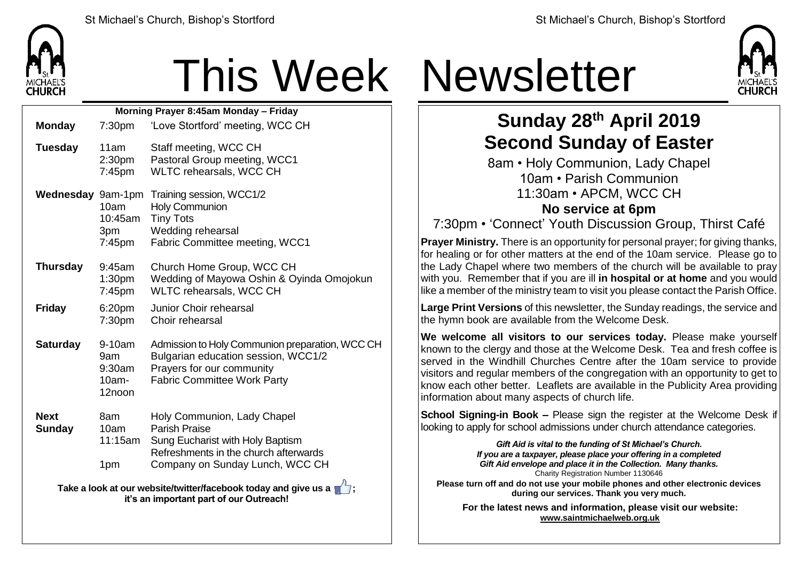

| Morning Prayer 8:45am Monday - Friday |                                                 |                                                                                                                                                                     |  |  |  |
|---------------------------------------|-------------------------------------------------|---------------------------------------------------------------------------------------------------------------------------------------------------------------------|--|--|--|
| <b>Monday</b>                         | 7:30pm                                          | 'Love Stortford' meeting, WCC CH                                                                                                                                    |  |  |  |
| <b>Tuesday</b>                        | 11am<br>2:30 <sub>pm</sub><br>$7:45$ pm         | Staff meeting, WCC CH<br>Pastoral Group meeting, WCC1<br>WLTC rehearsals, WCC CH                                                                                    |  |  |  |
|                                       | 10am<br>10:45am<br>3pm<br>7:45pm                | Wednesday 9am-1pm Training session, WCC1/2<br><b>Holy Communion</b><br><b>Tiny Tots</b><br>Wedding rehearsal<br>Fabric Committee meeting, WCC1                      |  |  |  |
| <b>Thursday</b>                       | 9:45am<br>1:30 <sub>pm</sub><br>$7:45$ pm       | Church Home Group, WCC CH<br>Wedding of Mayowa Oshin & Oyinda Omojokun<br>WLTC rehearsals, WCC CH                                                                   |  |  |  |
| <b>Friday</b>                         | 6:20pm<br>7:30pm                                | Junior Choir rehearsal<br>Choir rehearsal                                                                                                                           |  |  |  |
| <b>Saturday</b>                       | $9-10am$<br>9am<br>9:30am<br>$10am -$<br>12noon | Admission to Holy Communion preparation, WCC CH<br>Bulgarian education session, WCC1/2<br>Prayers for our community<br><b>Fabric Committee Work Party</b>           |  |  |  |
| <b>Next</b><br><b>Sunday</b>          | 8am<br>10am<br>11:15am<br>1pm                   | Holy Communion, Lady Chapel<br><b>Parish Praise</b><br>Sung Eucharist with Holy Baptism<br>Refreshments in the church afterwards<br>Company on Sunday Lunch, WCC CH |  |  |  |
|                                       |                                                 | л                                                                                                                                                                   |  |  |  |

**Take a look at our website/twitter/facebook today and give us a**  $\blacksquare$ **; it's an important part of our Outreach!**

# This Week Newsletter



### **Sunday 28 th April 2019 Second Sunday of Easter**

8am • Holy Communion, Lady Chapel 10am • Parish Communion 11:30am • APCM, WCC CH

#### **No service at 6pm**

7:30pm • 'Connect' Youth Discussion Group, Thirst Café

**Prayer Ministry.** There is an opportunity for personal prayer; for giving thanks, for healing or for other matters at the end of the 10am service. Please go to the Lady Chapel where two members of the church will be available to pray with you. Remember that if you are ill **in hospital or at home** and you would like a member of the ministry team to visit you please contact the Parish Office.

**Large Print Versions** of this newsletter, the Sunday readings, the service and the hymn book are available from the Welcome Desk.

**We welcome all visitors to our services today.** Please make yourself  $k$  known to the clergy and those at the Welcome Desk. Tea and fresh coffee is served in the Windhill Churches Centre after the 10am service to provide visitors and regular members of the congregation with an opportunity to get to know each other better. Leaflets are available in the Publicity Area providing information about many aspects of church life.

**School Signing-in Book –** Please sign the register at the Welcome Desk if looking to apply for school admissions under church attendance categories.

> *Gift Aid is vital to the funding of St Michael's Church. If you are a taxpayer, please place your offering in a completed Gift Aid envelope and place it in the Collection. Many thanks.* Charity Registration Number 1130646

**Please turn off and do not use your mobile phones and other electronic devices during our services. Thank you very much.**

**For the latest news and information, please visit our website: [www.saintmichaelweb.org.uk](http://www.saintmichaelweb.org.uk/)**